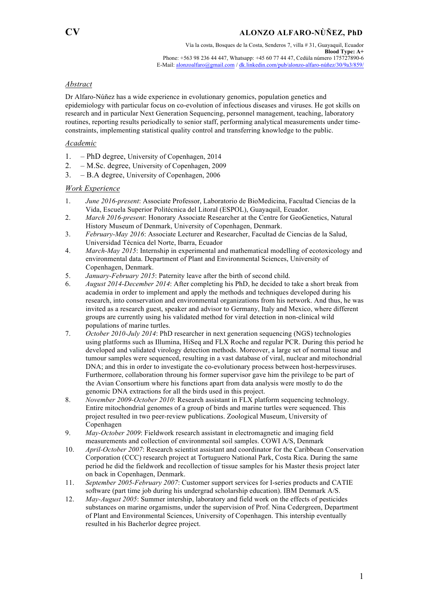# **CV ALONZO ALFARO-NÙÑEZ, PhD**

Vía la costa, Bosques de la Costa, Senderos 7, villa # 31, Guayaquil, Ecuador **Blood Type: A+** Phone: +563 98 236 44 447, Whatsapp: +45 60 77 44 47, Cedúla número 175727890-6 E-Mail: alonzoalfaro@gmail.com / dk.linkedin.com/pub/alonzo-alfaro-núñez/30/9a3/859/

# *Abstract*

Dr Alfaro-Núñez has a wide experience in evolutionary genomics, population genetics and epidemiology with particular focus on co-evolution of infectious diseases and viruses. He got skills on research and in particular Next Generation Sequencing, personnel management, teaching, laboratory routines, reporting results periodically to senior staff, performing analytical measurements under timeconstraints, implementing statistical quality control and transferring knowledge to the public.

## *Academic*

- 1. PhD degree, University of Copenhagen, 2014
- 2. M.Sc. degree, University of Copenhagen, 2009
- 3. B.A degree, University of Copenhagen, 2006

### *Work Experience*

- 1. *June 2016-present*: Associate Professor, Laboratorio de BioMedicina, Facultad Ciencias de la Vida, Escuela Superior Politécnica del Litoral (ESPOL), Guayaquil, Ecuador.
- 2. *March 2016-present*: Honorary Associate Researcher at the Centre for GeoGenetics, Natural History Museum of Denmark, University of Copenhagen, Denmark.
- 3. *February-May 2016*: Associate Lecturer and Researcher, Facultad de Ciencias de la Salud, Universidad Técnica del Norte, Ibarra, Ecuador
- 4. *March-May 2015*: Internship in experimental and mathematical modelling of ecotoxicology and environmental data. Department of Plant and Environmental Sciences, University of Copenhagen, Denmark.
- 5. *January-February 2015*: Paternity leave after the birth of second child.
- 6. *August 2014-December 2014*: After completing his PhD, he decided to take a short break from academia in order to implement and apply the methods and techniques developed during his research, into conservation and environmental organizations from his network. And thus, he was invited as a research guest, speaker and advisor to Germany, Italy and Mexico, where different groups are currently using his validated method for viral detection in non-clinical wild populations of marine turtles.
- 7. *October 2010-July 2014*: PhD researcher in next generation sequencing (NGS) technologies using platforms such as Illumina, HiSeq and FLX Roche and regular PCR. During this period he developed and validated virology detection methods. Moreover, a large set of normal tissue and tumour samples were sequenced, resulting in a vast database of viral, nuclear and mitochondrial DNA; and this in order to investigate the co-evolutionary process between host-herpesviruses. Furthermore, collaboration throung his former supervisor gave him the privilege to be part of the Avian Consortium where his functions apart from data analysis were mostly to do the genomic DNA extractions for all the birds used in this project.
- 8. *November 2009-October 2010*: Research assistant in FLX platform sequencing technology. Entire mitochondrial genomes of a group of birds and marine turtles were sequenced. This project resulted in two peer-review publications. Zoological Museum, University of Copenhagen
- 9. *May-October 2009*: Fieldwork research assistant in electromagnetic and imaging field measurements and collection of environmental soil samples. COWI A/S, Denmark
- 10. *April-October 2007*: Research scientist assistant and coordinator for the Caribbean Conservation Corporation (CCC) research project at Tortuguero National Park, Costa Rica. During the same period he did the fieldwork and recollection of tissue samples for his Master thesis project later on back in Copenhagen, Denmark.
- 11. *September 2005-February 2007*: Customer support services for I-series products and CATIE software (part time job during his undergrad scholarship education). IBM Denmark A/S.
- 12. *May-August 2005*: Summer intership, laboratory and field work on the effects of pesticides substances on marine orgamisms, under the supervision of Prof. Nina Cedergreen, Department of Plant and Environmental Sciences, University of Copenhagen. This intership eventually resulted in his Bacherlor degree project.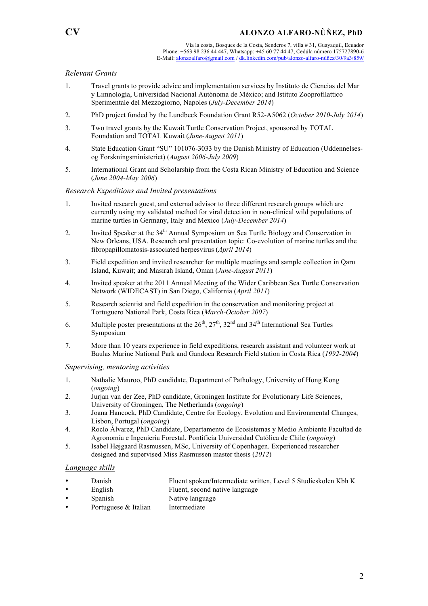Vía la costa, Bosques de la Costa, Senderos 7, villa # 31, Guayaquil, Ecuador Phone: +563 98 236 44 447, Whatsapp: +45 60 77 44 47, Cedúla número 175727890-6 E-Mail: alonzoalfaro@gmail.com / dk.linkedin.com/pub/alonzo-alfaro-núñez/30/9a3/859/

## *Relevant Grants*

- 1. Travel grants to provide advice and implementation services by Instituto de Ciencias del Mar y Limnología, Universidad Nacional Autónoma de México; and Istituto Zooprofilattico Sperimentale del Mezzogiorno, Napoles (*July-December 2014*)
- 2. PhD project funded by the Lundbeck Foundation Grant R52-A5062 (*October 2010-July 2014*)
- 3. Two travel grants by the Kuwait Turtle Conservation Project, sponsored by TOTAL Foundation and TOTAL Kuwait (*June-August 2011*)
- 4. State Education Grant "SU" 101076-3033 by the Danish Ministry of Education (Uddennelsesog Forskningsministeriet) (*August 2006-July 2009*)
- 5. International Grant and Scholarship from the Costa Rican Ministry of Education and Science (*June 2004-May 2006*)

## *Research Expeditions and Invited presentations*

- 1. Invited research guest, and external advisor to three different research groups which are currently using my validated method for viral detection in non-clinical wild populations of marine turtles in Germany, Italy and Mexico (*July-December 2014*)
- 2. Invited Speaker at the 34<sup>th</sup> Annual Symposium on Sea Turtle Biology and Conservation in New Orleans, USA. Research oral presentation topic: Co-evolution of marine turtles and the fibropapillomatosis-associated herpesvirus (*April 2014*)
- 3. Field expedition and invited researcher for multiple meetings and sample collection in Qaru Island, Kuwait; and Masirah Island, Oman (*June-August 2011*)
- 4. Invited speaker at the 2011 Annual Meeting of the Wider Caribbean Sea Turtle Conservation Network (WIDECAST) in San Diego, California (*April 2011*)
- 5. Research scientist and field expedition in the conservation and monitoring project at Tortuguero National Park, Costa Rica (*March-October 2007*)
- 6. Multiple poster presentations at the  $26<sup>th</sup>$ ,  $27<sup>th</sup>$ ,  $32<sup>nd</sup>$  and  $34<sup>th</sup>$  International Sea Turtles Symposium
- 7. More than 10 years experience in field expeditions, research assistant and volunteer work at Baulas Marine National Park and Gandoca Research Field station in Costa Rica (*1992-2004*)

### *Supervising, mentoring activities*

- 1. Nathalie Mauroo, PhD candidate, Department of Pathology, University of Hong Kong (*ongoing*)
- 2. Jurjan van der Zee, PhD candidate, Groningen Institute for Evolutionary Life Sciences, University of Groningen, The Netherlands (*ongoing*)
- 3. Joana Hancock, PhD Candidate, Centre for Ecology, Evolution and Environmental Changes, Lisbon, Portugal (*ongoing*)
- 4. Rocío Álvarez, PhD Candidate, Departamento de Ecosistemas y Medio Ambiente Facultad de Agronomía e Ingeniería Forestal, Pontificia Universidad Católica de Chile (*ongoing*)
- 5. Isabel Højgaard Rasmussen, MSc, University of Copenhagen. Experienced researcher designed and supervised Miss Rasmussen master thesis (*2012*)

### *Language skills*

- Danish Fluent spoken/Intermediate written, Level 5 Studieskolen Kbh K
- English Fluent, second native language
- Spanish Native language
- Portuguese & Italian Intermediate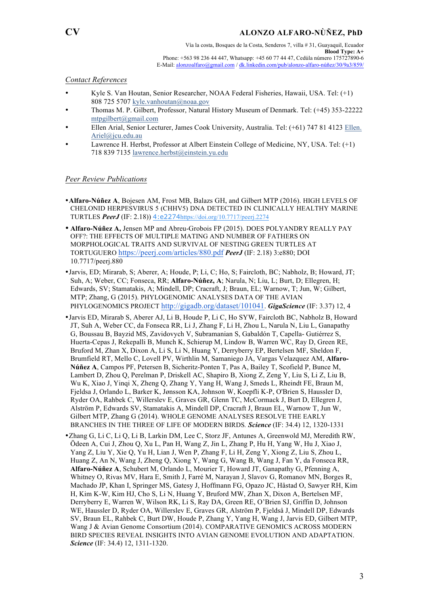### **CV ALONZO ALFARO-NÙÑEZ, PhD**

Vía la costa, Bosques de la Costa, Senderos 7, villa # 31, Guayaquil, Ecuador **Blood Type: A+** Phone: +563 98 236 44 447, Whatsapp: +45 60 77 44 47, Cedúla número 175727890-6 E-Mail: alonzoalfaro@gmail.com / dk.linkedin.com/pub/alonzo-alfaro-núñez/30/9a3/859/

#### *Contact References*

- Kyle S. Van Houtan, Senior Researcher, NOAA Federal Fisheries, Hawaii, USA. Tel: (+1) 808 725 5707 kyle.vanhoutan@noaa.gov
- Thomas M. P. Gilbert, Professor, Natural History Museum of Denmark. Tel: (+45) 353-22222 mtpgilbert@gmail.com
- Ellen Arial, Senior Lecturer, James Cook University, Australia. Tel: (+61) 747 81 4123 Ellen. Ariel@jcu.edu.au
- Lawrence H. Herbst, Professor at Albert Einstein College of Medicine, NY, USA. Tel: (+1) 718 839 7135 lawrence.herbst@einstein.yu.edu

#### *Peer Review Publications*

- •**Alfaro-Núñez A**, Bojesen AM, Frost MB, Balazs GH, and Gilbert MTP (2016). HIGH LEVELS OF CHELONID HERPESVIRUS 5 (CHHV5) DNA DETECTED IN CLINICALLY HEALTHY MARINE TURTLES *PeerJ* (IF: 2.18)) 4:e2274https://doi.org/10.7717/peerj.2274
- **Alfaro-Núñez A,** Jensen MP and Abreu-Grobois FP (2015). DOES POLYANDRY REALLY PAY OFF?: THE EFFECTS OF MULTIPLE MATING AND NUMBER OF FATHERS ON MORPHOLOGICAL TRAITS AND SURVIVAL OF NESTING GREEN TURTLES AT TORTUGUERO https://peerj.com/articles/880.pdf *PeerJ* (IF: 2.18) 3:e880; DOI 10.7717/peerj.880
- •Jarvis, ED; Mirarab, S; Aberer, A; Houde, P; Li, C; Ho, S; Faircloth, BC; Nabholz, B; Howard, JT; Suh, A; Weber, CC; Fonseca, RR; **Alfaro-Núñez, A**; Narula, N; Liu, L; Burt, D; Ellegren, H; Edwards, SV; Stamatakis, A; Mindell, DP; Cracraft, J; Braun, EL; Warnow, T; Jun, W; Gilbert, MTP; Zhang, G (2015). PHYLOGENOMIC ANALYSES DATA OF THE AVIAN PHYLOGENOMICS PROJECT http://gigadb.org/dataset/101041. *GigaScience* (IF: 3.37) 12, 4
- •Jarvis ED, Mirarab S, Aberer AJ, Li B, Houde P, Li C, Ho SYW, Faircloth BC, Nabholz B, Howard JT, Suh A, Weber CC, da Fonseca RR, Li J, Zhang F, Li H, Zhou L, Narula N, Liu L, Ganapathy G, Boussau B, Bayzid MS, Zavidovych V, Subramanian S, Gabaldón T, Capella- Gutiérrez S, Huerta-Cepas J, Rekepalli B, Munch K, Schierup M, Lindow B, Warren WC, Ray D, Green RE, Bruford M, Zhan X, Dixon A, Li S, Li N, Huang Y, Derryberry EP, Bertelsen MF, Sheldon F, Brumfield RT, Mello C, Lovell PV, Wirthlin M, Samaniego JA, Vargas Velazquez AM, **Alfaro-Núñez A**, Campos PF, Petersen B, Sicheritz-Ponten T, Pas A, Bailey T, Scofield P, Bunce M, Lambert D, Zhou Q, Perelman P, Driskell AC, Shapiro B, Xiong Z, Zeng Y, Liu S, Li Z, Liu B, Wu K, Xiao J, Yinqi X, Zheng Q, Zhang Y, Yang H, Wang J, Smeds L, Rheindt FE, Braun M, Fjeldsa J, Orlando L, Barker K, Jønsson KA, Johnson W, Koepfli K-P, O'Brien S, Haussler D, Ryder OA, Rahbek C, Willerslev E, Graves GR, Glenn TC, McCormack J, Burt D, Ellegren J, Alström P, Edwards SV, Stamatakis A, Mindell DP, Cracraft J, Braun EL, Warnow T, Jun W, Gilbert MTP, Zhang G (2014). WHOLE GENOME ANALYSES RESOLVE THE EARLY BRANCHES IN THE THREE OF LIFE OF MODERN BIRDS*. Science* (IF: 34.4) 12, 1320-1331
- •Zhang G, Li C, Li Q, Li B, Larkin DM, Lee C, Storz JF, Antunes A, Greenwold MJ, Meredith RW, Ödeen A, Cui J, Zhou Q, Xu L, Pan H, Wang Z, Jin L, Zhang P, Hu H, Yang W, Hu J, Xiao J, Yang Z, Liu Y, Xie Q, Yu H, Lian J, Wen P, Zhang F, Li H, Zeng Y, Xiong Z, Liu S, Zhou L, Huang Z, An N, Wang J, Zheng Q, Xiong Y, Wang G, Wang B, Wang J, Fan Y, da Fonseca RR, **Alfaro-Núñez A**, Schubert M, Orlando L, Mourier T, Howard JT, Ganapathy G, Pfenning A, Whitney O, Rivas MV, Hara E, Smith J, Farré M, Narayan J, Slavov G, Romanov MN, Borges R, Machado JP, Khan I, Springer MS, Gatesy J, Hoffmann FG, Opazo JC, Håstad O, Sawyer RH, Kim H, Kim K-W, Kim HJ, Cho S, Li N, Huang Y, Bruford MW, Zhan X, Dixon A, Bertelsen MF, Derryberry E, Warren W, Wilson RK, Li S, Ray DA, Green RE, O'Brien SJ, Griffin D, Johnson WE, Haussler D, Ryder OA, Willerslev E, Graves GR, Alström P, Fjeldså J, Mindell DP, Edwards SV, Braun EL, Rahbek C, Burt DW, Houde P, Zhang Y, Yang H, Wang J, Jarvis ED, Gilbert MTP, Wang J & Avian Genome Consortium (2014). COMPARATIVE GENOMICS ACROSS MODERN BIRD SPECIES REVEAL INSIGHTS INTO AVIAN GENOME EVOLUTION AND ADAPTATION. *Science* (IF: 34.4) 12, 1311-1320.